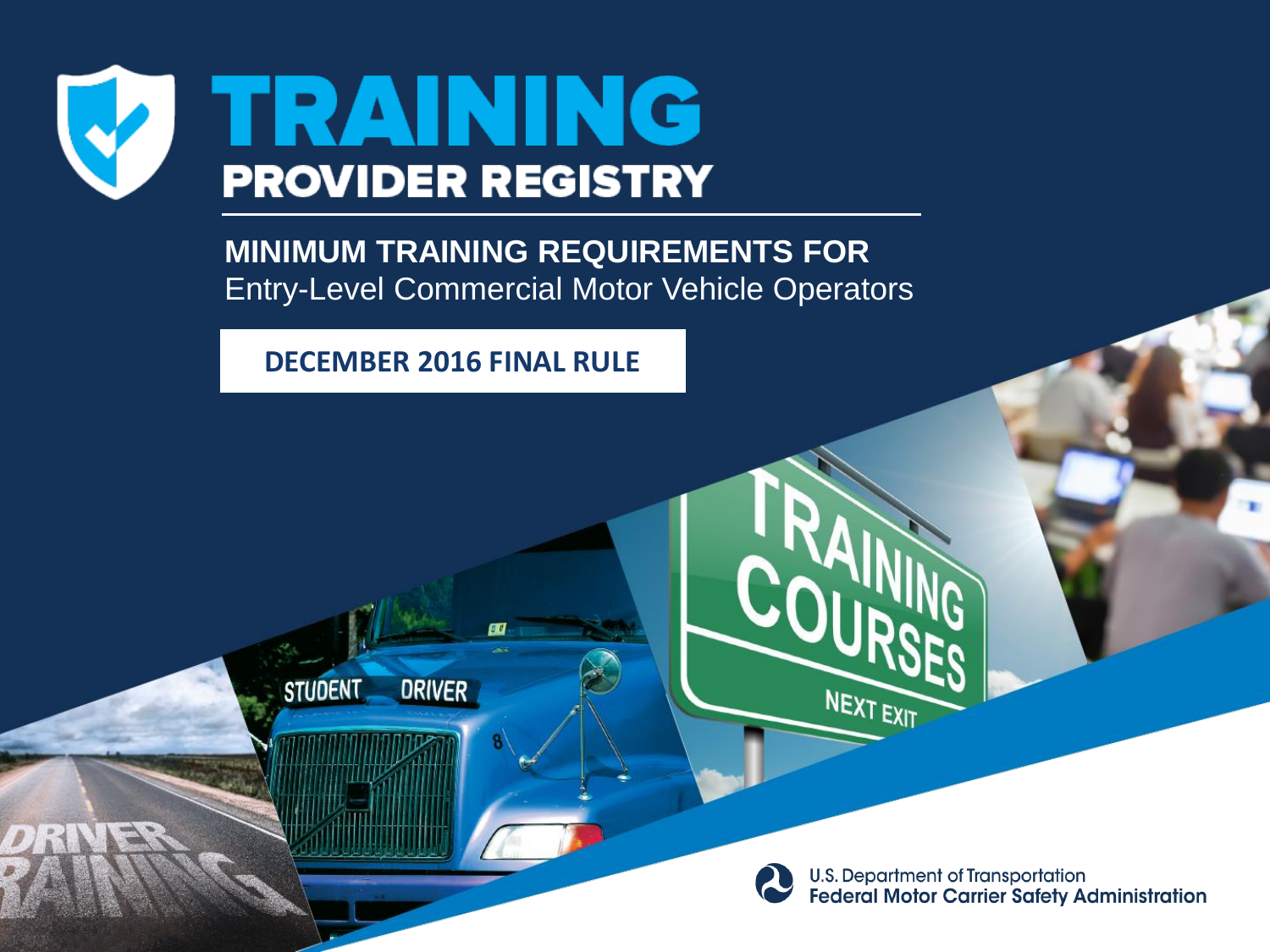

**STUDENT** 

**MINIMUM TRAINING REQUIREMENTS FOR** Entry-Level Commercial Motor Vehicle Operators

**DECEMBER 2016 FINAL RULE**

**BU** 

**DRIVER** 



NEXT EXIT

**U.S. Department of Transportation Federal Motor Carrier Safety Administration**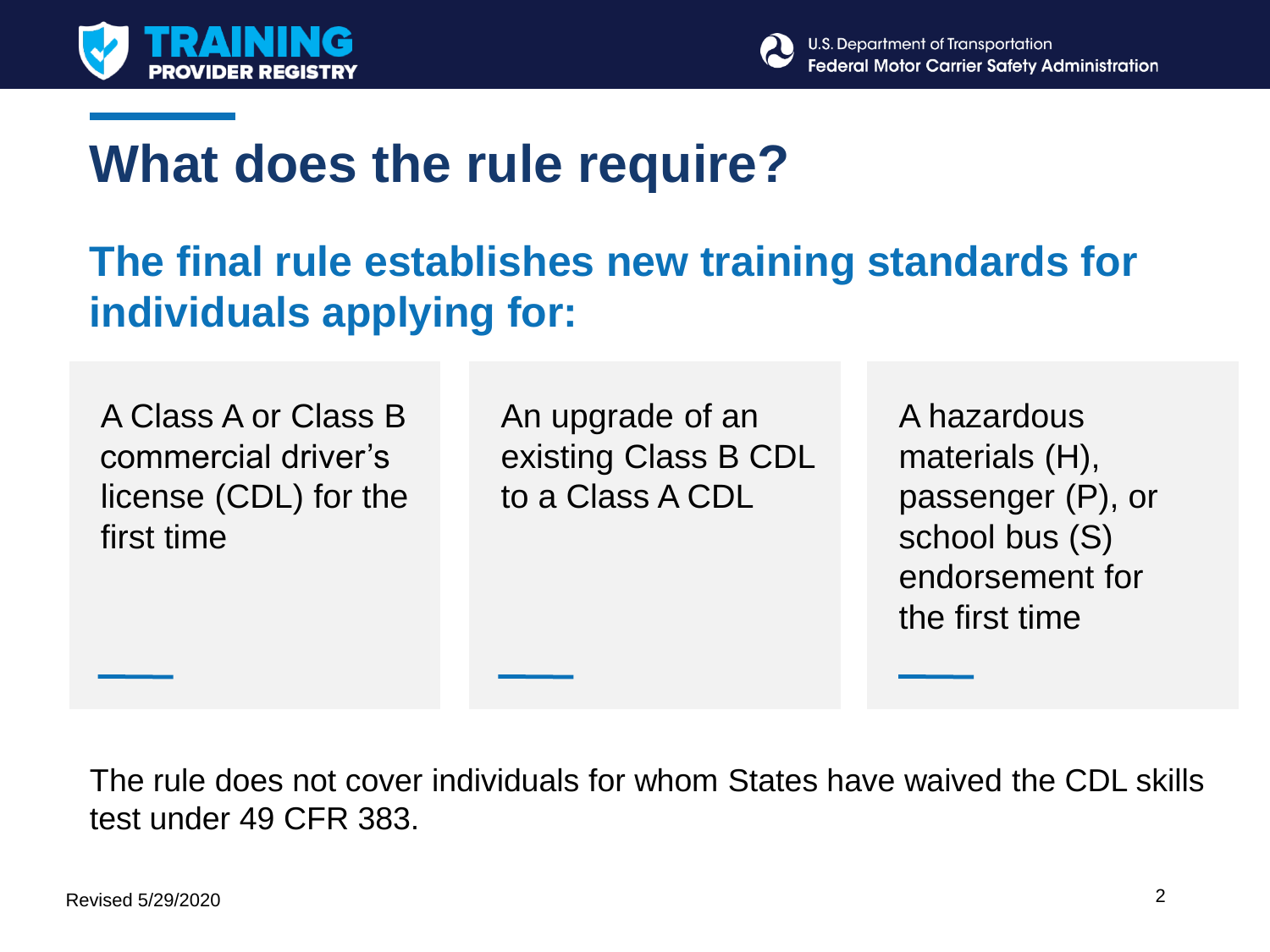



# **What does the rule require?**

#### **The final rule establishes new training standards for individuals applying for:**

A Class A or Class B commercial driver's license (CDL) for the first time

An upgrade of an existing Class B CDL to a Class A CDL

A hazardous materials (H), passenger (P), or school bus (S) endorsement for the first time

The rule does not cover individuals for whom States have waived the CDL skills test under 49 CFR 383.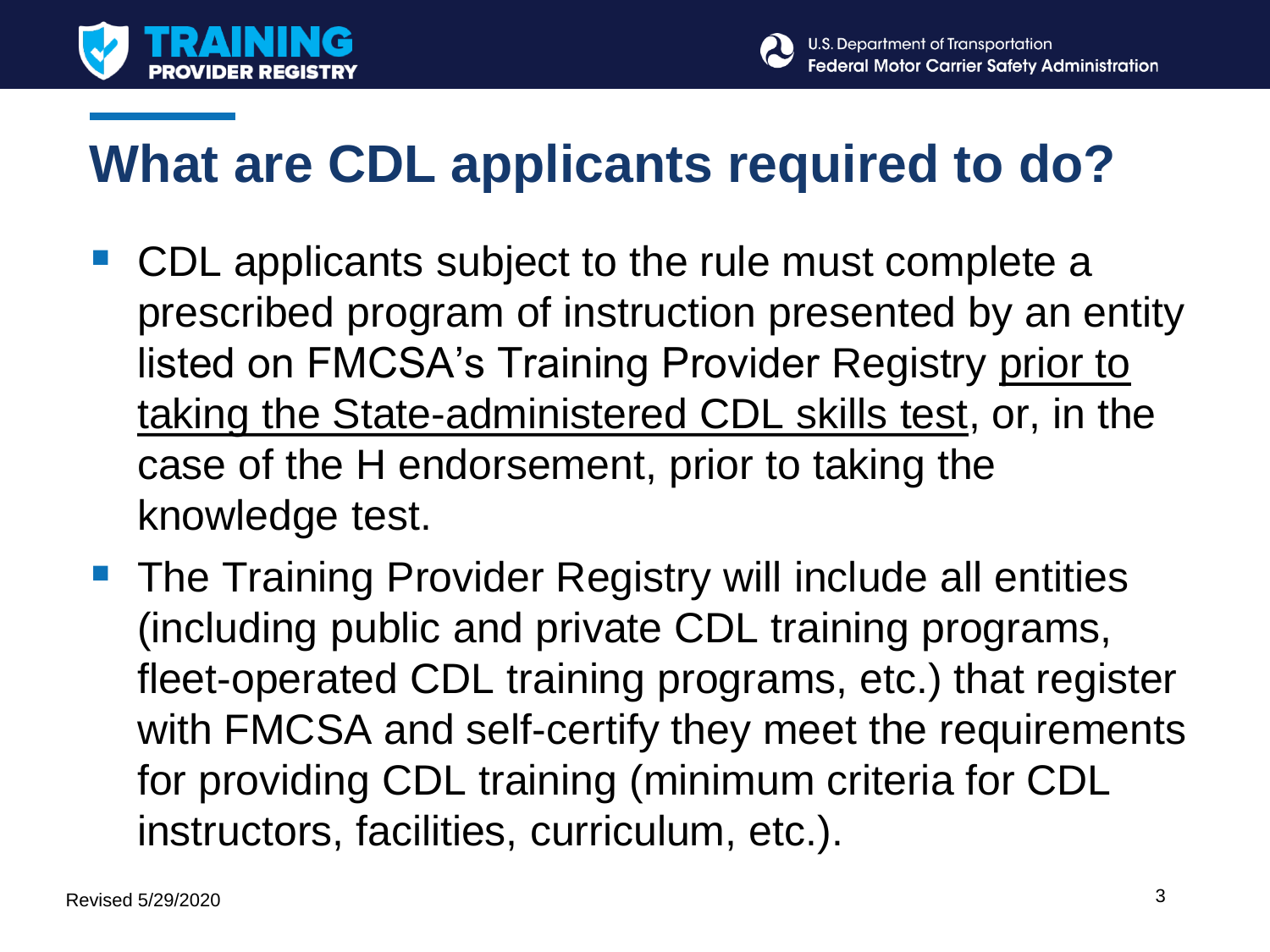



# **What are CDL applicants required to do?**

- CDL applicants subject to the rule must complete a prescribed program of instruction presented by an entity listed on FMCSA's Training Provider Registry prior to taking the State-administered CDL skills test, or, in the case of the H endorsement, prior to taking the knowledge test.
- **The Training Provider Registry will include all entities** (including public and private CDL training programs, fleet-operated CDL training programs, etc.) that register with FMCSA and self-certify they meet the requirements for providing CDL training (minimum criteria for CDL instructors, facilities, curriculum, etc.).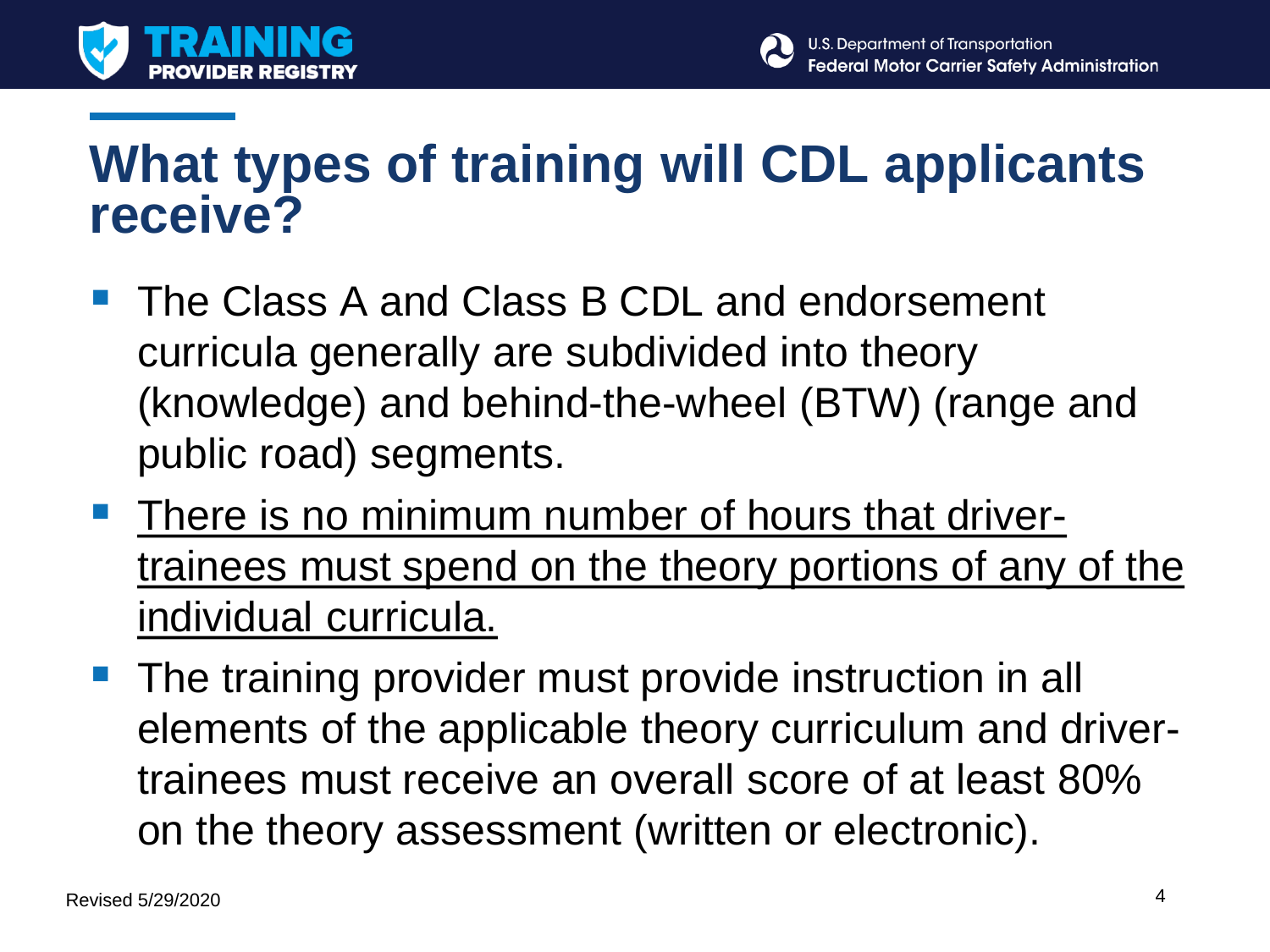



## **What types of training will CDL applicants receive?**

- The Class A and Class B CDL and endorsement curricula generally are subdivided into theory (knowledge) and behind-the-wheel (BTW) (range and public road) segments.
- **There is no minimum number of hours that driver**trainees must spend on the theory portions of any of the individual curricula.
- **The training provider must provide instruction in all** elements of the applicable theory curriculum and drivertrainees must receive an overall score of at least 80% on the theory assessment (written or electronic).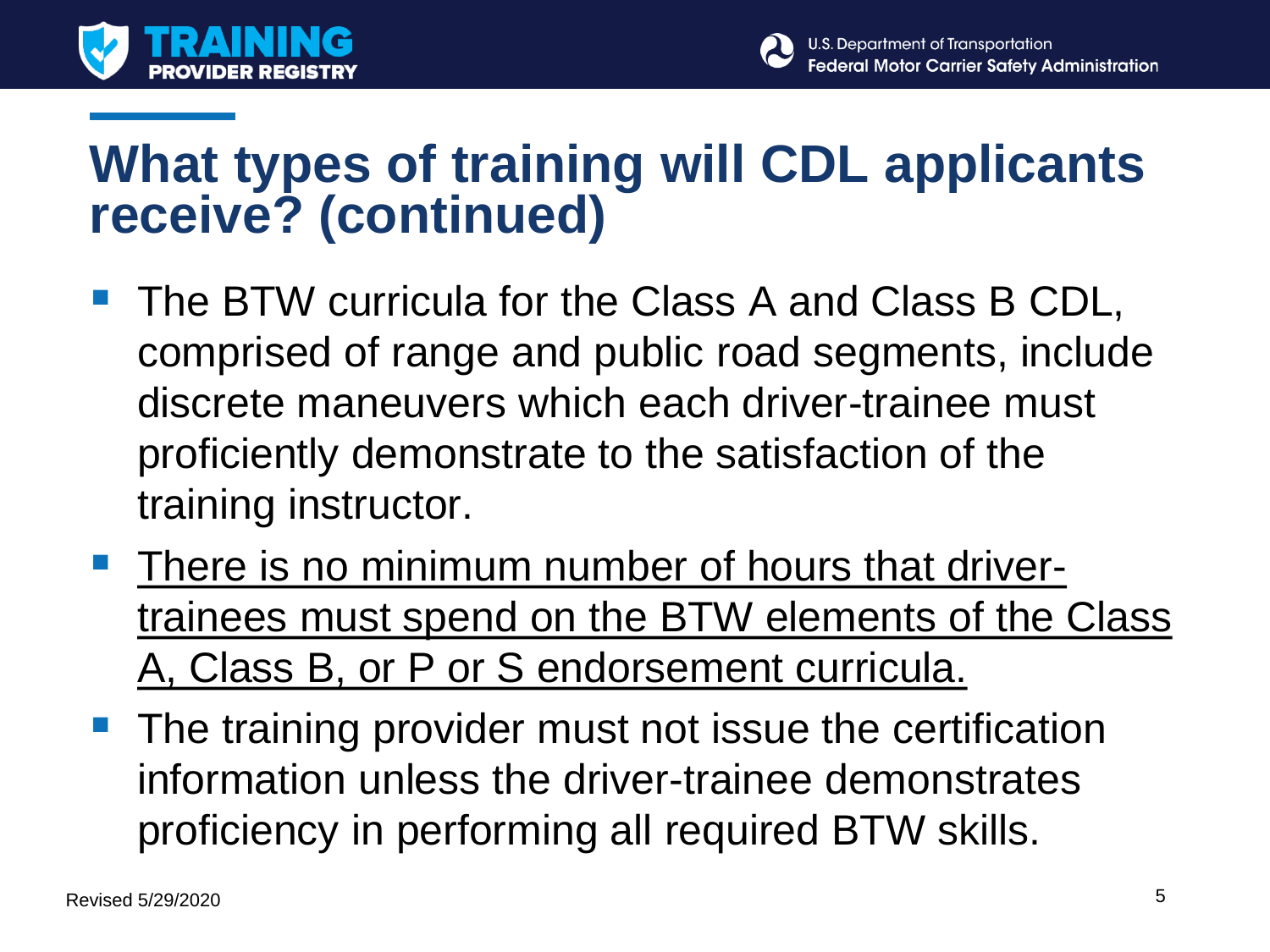



## **What types of training will CDL applicants receive? (continued)**

- The BTW curricula for the Class A and Class B CDL, comprised of range and public road segments, include discrete maneuvers which each driver-trainee must proficiently demonstrate to the satisfaction of the training instructor.
- **There is no minimum number of hours that driver**trainees must spend on the BTW elements of the Class A, Class B, or P or S endorsement curricula.
- The training provider must not issue the certification information unless the driver-trainee demonstrates proficiency in performing all required BTW skills.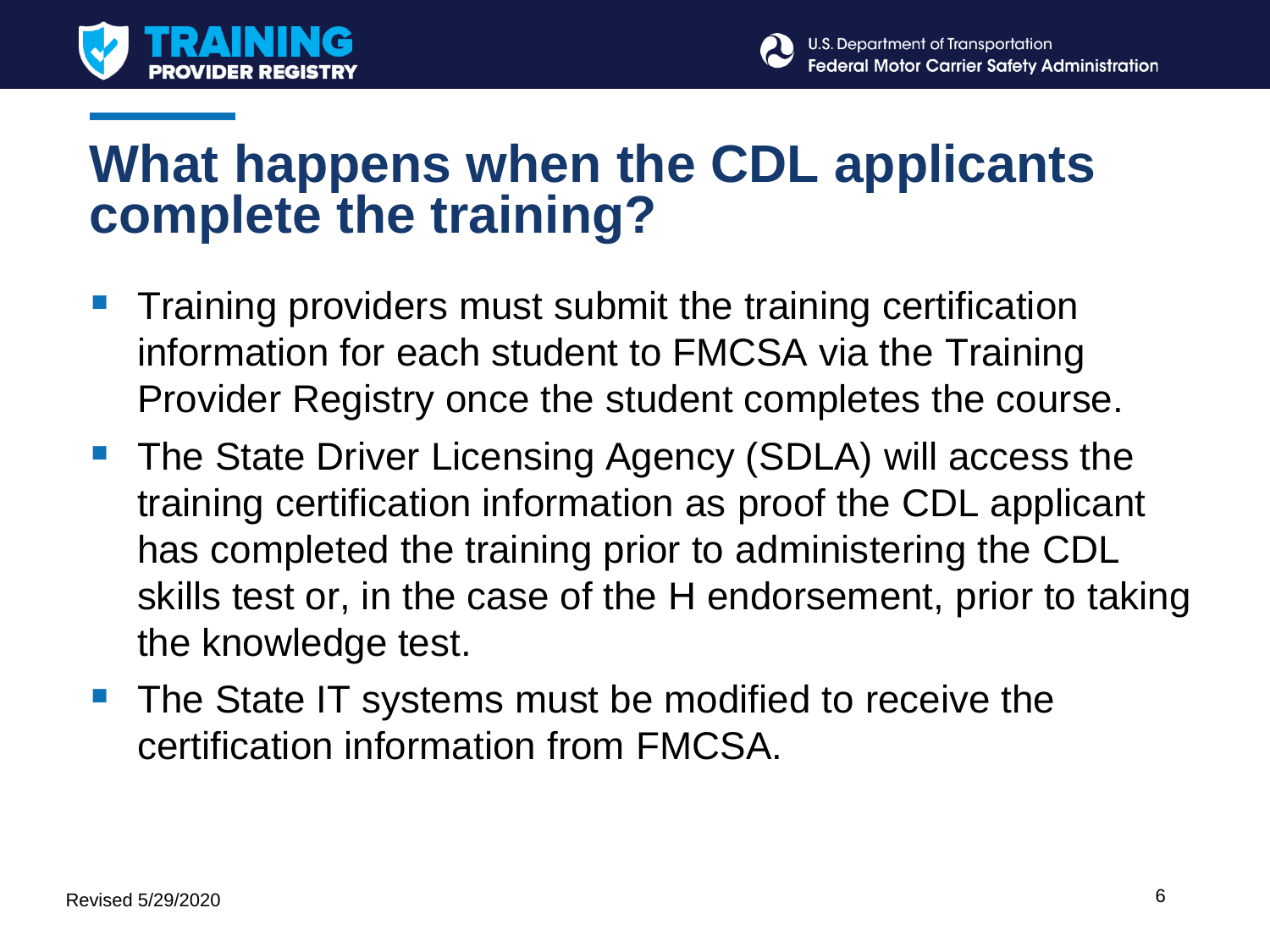



## **What happens when the CDL applicants complete the training?**

- Training providers must submit the training certification information for each student to FMCSA via the Training Provider Registry once the student completes the course.
- **The State Driver Licensing Agency (SDLA) will access the** training certification information as proof the CDL applicant has completed the training prior to administering the CDL skills test or, in the case of the H endorsement, prior to taking the knowledge test.
- The State IT systems must be modified to receive the certification information from FMCSA.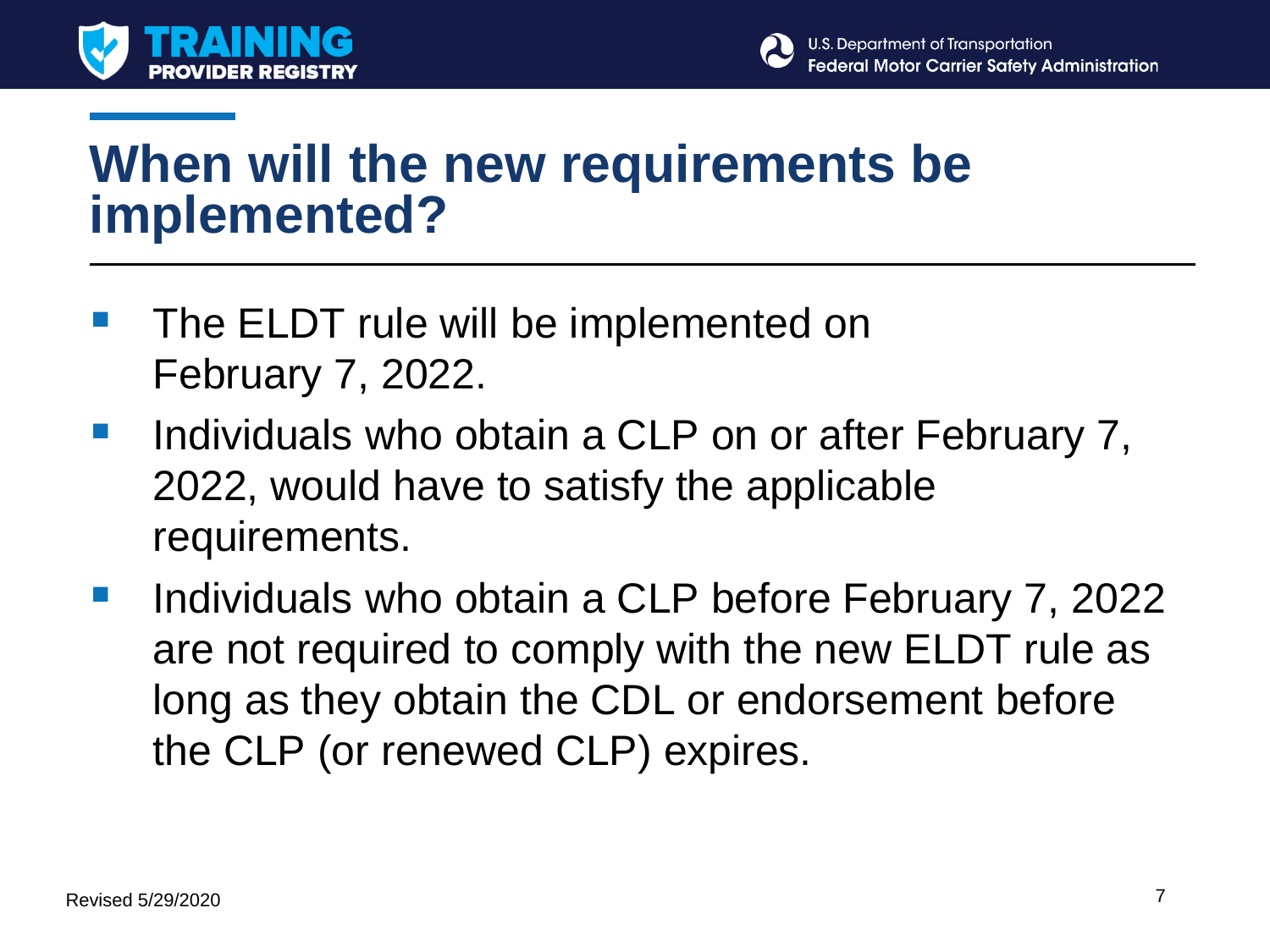



## **When will the new requirements be implemented?**

- The ELDT rule will be implemented on February 7, 2022.
- **Individuals who obtain a CLP on or after February 7,** 2022, would have to satisfy the applicable requirements.
- Individuals who obtain a CLP before February 7, 2022 are not required to comply with the new ELDT rule as long as they obtain the CDL or endorsement before the CLP (or renewed CLP) expires.